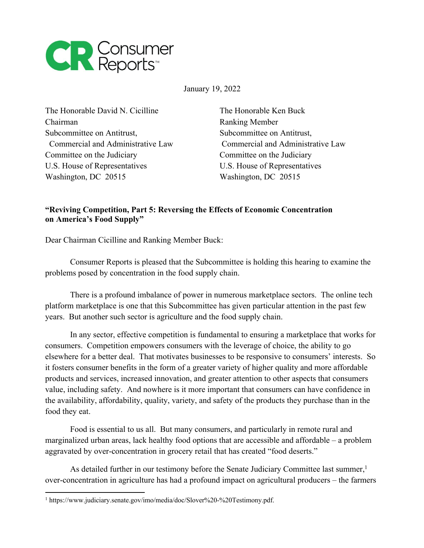

January 19, 2022

The Honorable David N. Cicilline The Honorable Ken Buck Chairman Ranking Member Subcommittee on Antitrust, Subcommittee on Antitrust, Committee on the Judiciary Committee on the Judiciary U.S. House of Representatives U.S. House of Representatives Washington, DC 20515 Washington, DC 20515

Commercial and Administrative Law Commercial and Administrative Law

## **"Reviving Competition, Part 5: Reversing the Effects of Economic Concentration on America's Food Supply"**

Dear Chairman Cicilline and Ranking Member Buck:

Consumer Reports is pleased that the Subcommittee is holding this hearing to examine the problems posed by concentration in the food supply chain.

There is a profound imbalance of power in numerous marketplace sectors. The online tech platform marketplace is one that this Subcommittee has given particular attention in the past few years. But another such sector is agriculture and the food supply chain.

In any sector, effective competition is fundamental to ensuring a marketplace that works for consumers. Competition empowers consumers with the leverage of choice, the ability to go elsewhere for a better deal. That motivates businesses to be responsive to consumers' interests. So it fosters consumer benefits in the form of a greater variety of higher quality and more affordable products and services, increased innovation, and greater attention to other aspects that consumers value, including safety. And nowhere is it more important that consumers can have confidence in the availability, affordability, quality, variety, and safety of the products they purchase than in the food they eat.

Food is essential to us all. But many consumers, and particularly in remote rural and marginalized urban areas, lack healthy food options that are accessible and affordable – a problem aggravated by over-concentration in grocery retail that has created "food deserts."

As detailed further in our testimony before the Senate Judiciary Committee last summer, 1 over-concentration in agriculture has had a profound impact on agricultural producers – the farmers

<sup>&</sup>lt;sup>1</sup> https://www.judiciary.senate.gov/imo/media/doc/Slover%20-%20Testimony.pdf.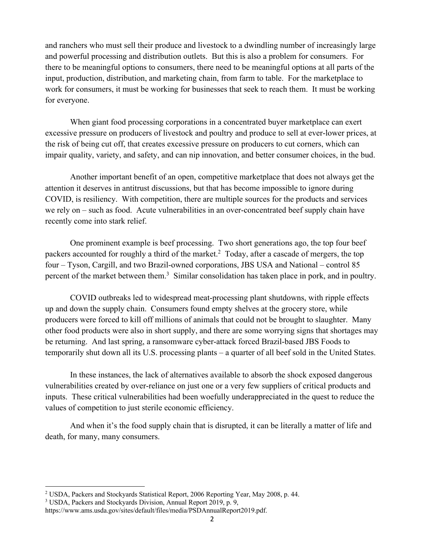and ranchers who must sell their produce and livestock to a dwindling number of increasingly large and powerful processing and distribution outlets. But this is also a problem for consumers. For there to be meaningful options to consumers, there need to be meaningful options at all parts of the input, production, distribution, and marketing chain, from farm to table. For the marketplace to work for consumers, it must be working for businesses that seek to reach them. It must be working for everyone.

When giant food processing corporations in a concentrated buyer marketplace can exert excessive pressure on producers of livestock and poultry and produce to sell at ever-lower prices, at the risk of being cut off, that creates excessive pressure on producers to cut corners, which can impair quality, variety, and safety, and can nip innovation, and better consumer choices, in the bud.

Another important benefit of an open, competitive marketplace that does not always get the attention it deserves in antitrust discussions, but that has become impossible to ignore during COVID, is resiliency. With competition, there are multiple sources for the products and services we rely on – such as food. Acute vulnerabilities in an over-concentrated beef supply chain have recently come into stark relief.

One prominent example is beef processing. Two short generations ago, the top four beef packers accounted for roughly a third of the market.<sup>2</sup> Today, after a cascade of mergers, the top four – Tyson, Cargill, and two Brazil-owned corporations, JBS USA and National – control 85 percent of the market between them.<sup>3</sup> Similar consolidation has taken place in pork, and in poultry.

COVID outbreaks led to widespread meat-processing plant shutdowns, with ripple effects up and down the supply chain. Consumers found empty shelves at the grocery store, while producers were forced to kill off millions of animals that could not be brought to slaughter. Many other food products were also in short supply, and there are some worrying signs that shortages may be returning. And last spring, a ransomware cyber-attack forced Brazil-based JBS Foods to temporarily shut down all its U.S. processing plants – a quarter of all beef sold in the United States.

In these instances, the lack of alternatives available to absorb the shock exposed dangerous vulnerabilities created by over-reliance on just one or a very few suppliers of critical products and inputs. These critical vulnerabilities had been woefully underappreciated in the quest to reduce the values of competition to just sterile economic efficiency.

And when it's the food supply chain that is disrupted, it can be literally a matter of life and death, for many, many consumers.

<sup>2</sup> USDA, Packers and Stockyards Statistical Report, 2006 Reporting Year, May 2008, p. 44.

<sup>3</sup> USDA, Packers and Stockyards Division, Annual Report 2019, p. 9,

https://www.ams.usda.gov/sites/default/files/media/PSDAnnualReport2019.pdf.